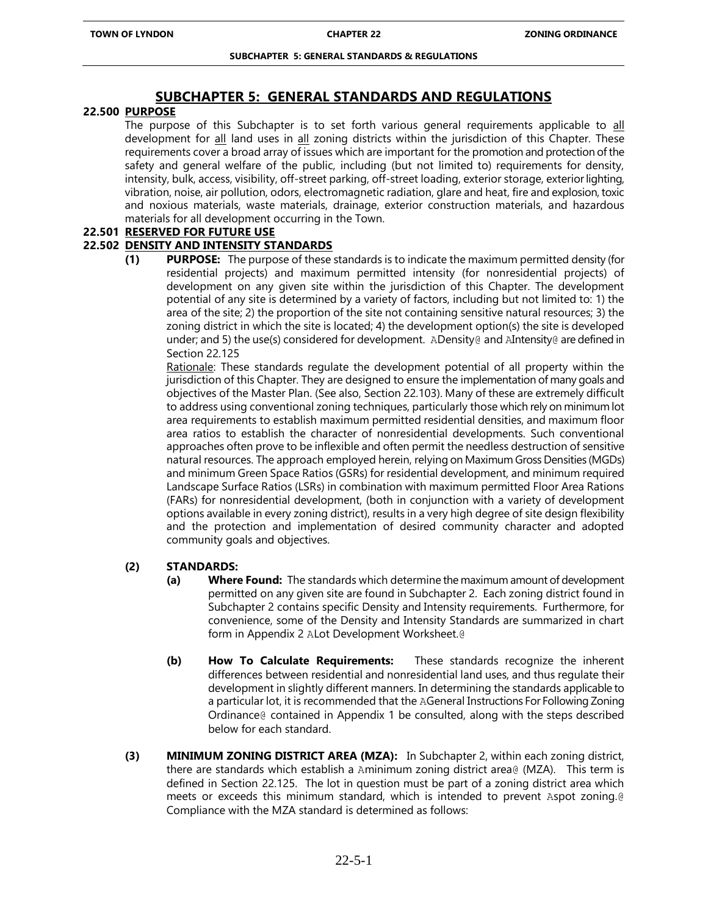# **SUBCHAPTER 5: GENERAL STANDARDS AND REGULATIONS**

# **22.500 PURPOSE**

The purpose of this Subchapter is to set forth various general requirements applicable to all development for all land uses in all zoning districts within the jurisdiction of this Chapter. These requirements cover a broad array of issues which are important for the promotion and protection of the safety and general welfare of the public, including (but not limited to) requirements for density, intensity, bulk, access, visibility, off-street parking, off-street loading, exterior storage, exterior lighting, vibration, noise, air pollution, odors, electromagnetic radiation, glare and heat, fire and explosion, toxic and noxious materials, waste materials, drainage, exterior construction materials, and hazardous materials for all development occurring in the Town.

# **22.501 RESERVED FOR FUTURE USE**

# **22.502 DENSITY AND INTENSITY STANDARDS**

**(1) PURPOSE:** The purpose of these standards is to indicate the maximum permitted density (for residential projects) and maximum permitted intensity (for nonresidential projects) of development on any given site within the jurisdiction of this Chapter. The development potential of any site is determined by a variety of factors, including but not limited to: 1) the area of the site; 2) the proportion of the site not containing sensitive natural resources; 3) the zoning district in which the site is located; 4) the development option(s) the site is developed under; and 5) the use(s) considered for development. ADensity@ and AIntensity@ are defined in Section 22.125

Rationale: These standards regulate the development potential of all property within the jurisdiction of this Chapter. They are designed to ensure the implementation of many goals and objectives of the Master Plan. (See also, Section 22.103). Many of these are extremely difficult to address using conventional zoning techniques, particularly those which rely on minimum lot area requirements to establish maximum permitted residential densities, and maximum floor area ratios to establish the character of nonresidential developments. Such conventional approaches often prove to be inflexible and often permit the needless destruction of sensitive natural resources. The approach employed herein, relying on Maximum Gross Densities (MGDs) and minimum Green Space Ratios (GSRs) for residential development, and minimum required Landscape Surface Ratios (LSRs) in combination with maximum permitted Floor Area Rations (FARs) for nonresidential development, (both in conjunction with a variety of development options available in every zoning district), results in a very high degree of site design flexibility and the protection and implementation of desired community character and adopted community goals and objectives.

# **(2) STANDARDS:**

- **(a) Where Found:** The standards which determine the maximum amount of development permitted on any given site are found in Subchapter 2. Each zoning district found in Subchapter 2 contains specific Density and Intensity requirements. Furthermore, for convenience, some of the Density and Intensity Standards are summarized in chart form in Appendix 2 ALot Development Worksheet.@
- **(b) How To Calculate Requirements:** These standards recognize the inherent differences between residential and nonresidential land uses, and thus regulate their development in slightly different manners. In determining the standards applicable to a particular lot, it is recommended that the AGeneral Instructions For Following Zoning Ordinance@ contained in Appendix 1 be consulted, along with the steps described below for each standard.
- **(3) MINIMUM ZONING DISTRICT AREA (MZA):** In Subchapter 2, within each zoning district, there are standards which establish a Aminimum zoning district area@ (MZA). This term is defined in Section 22.125. The lot in question must be part of a zoning district area which meets or exceeds this minimum standard, which is intended to prevent Aspot zoning.@ Compliance with the MZA standard is determined as follows: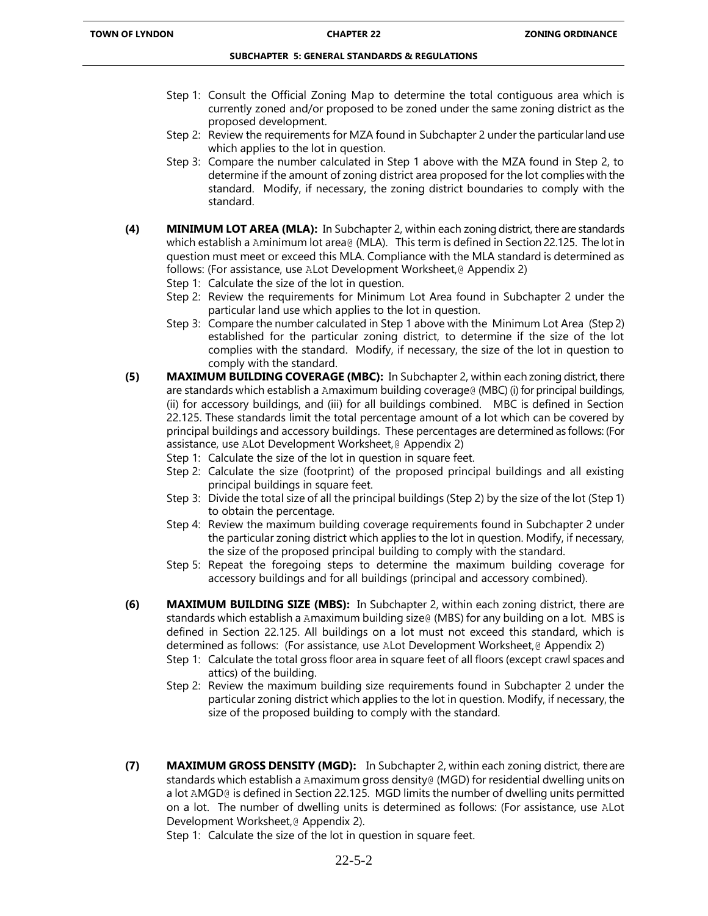- Step 1: Consult the Official Zoning Map to determine the total contiguous area which is currently zoned and/or proposed to be zoned under the same zoning district as the proposed development.
- Step 2: Review the requirements for MZA found in Subchapter 2 under the particular land use which applies to the lot in question.
- Step 3: Compare the number calculated in Step 1 above with the MZA found in Step 2, to determine if the amount of zoning district area proposed for the lot complies with the standard. Modify, if necessary, the zoning district boundaries to comply with the standard.
- **(4) MINIMUM LOT AREA (MLA):** In Subchapter 2, within each zoning district, there are standards which establish a Aminimum lot area@ (MLA). This term is defined in Section 22.125. The lot in question must meet or exceed this MLA. Compliance with the MLA standard is determined as follows: (For assistance, use ALot Development Worksheet,@ Appendix 2)
	- Step 1: Calculate the size of the lot in question.
	- Step 2: Review the requirements for Minimum Lot Area found in Subchapter 2 under the particular land use which applies to the lot in question.
	- Step 3: Compare the number calculated in Step 1 above with the Minimum Lot Area (Step 2) established for the particular zoning district, to determine if the size of the lot complies with the standard. Modify, if necessary, the size of the lot in question to comply with the standard.
- **(5) MAXIMUM BUILDING COVERAGE (MBC):** In Subchapter 2, within each zoning district, there are standards which establish a Amaximum building coverage@ (MBC) (i) for principal buildings, (ii) for accessory buildings, and (iii) for all buildings combined. MBC is defined in Section 22.125. These standards limit the total percentage amount of a lot which can be covered by principal buildings and accessory buildings. These percentages are determined as follows: (For assistance, use ALot Development Worksheet,@ Appendix 2)
	- Step 1: Calculate the size of the lot in question in square feet.
	- Step 2: Calculate the size (footprint) of the proposed principal buildings and all existing principal buildings in square feet.
	- Step 3: Divide the total size of all the principal buildings (Step 2) by the size of the lot (Step 1) to obtain the percentage.
	- Step 4: Review the maximum building coverage requirements found in Subchapter 2 under the particular zoning district which applies to the lot in question. Modify, if necessary, the size of the proposed principal building to comply with the standard.
	- Step 5: Repeat the foregoing steps to determine the maximum building coverage for accessory buildings and for all buildings (principal and accessory combined).
- **(6) MAXIMUM BUILDING SIZE (MBS):** In Subchapter 2, within each zoning district, there are standards which establish a Amaximum building size@ (MBS) for any building on a lot. MBS is defined in Section 22.125. All buildings on a lot must not exceed this standard, which is determined as follows: (For assistance, use ALot Development Worksheet, @ Appendix 2)
	- Step 1: Calculate the total gross floor area in square feet of all floors (except crawl spaces and attics) of the building.
	- Step 2: Review the maximum building size requirements found in Subchapter 2 under the particular zoning district which applies to the lot in question. Modify, if necessary, the size of the proposed building to comply with the standard.
- **(7) MAXIMUM GROSS DENSITY (MGD):** In Subchapter 2, within each zoning district, there are standards which establish a Amaximum gross density@ (MGD) for residential dwelling units on a lot AMGD<sub>®</sub> is defined in Section 22.125. MGD limits the number of dwelling units permitted on a lot. The number of dwelling units is determined as follows: (For assistance, use ALot Development Worksheet,@ Appendix 2).

Step 1: Calculate the size of the lot in question in square feet.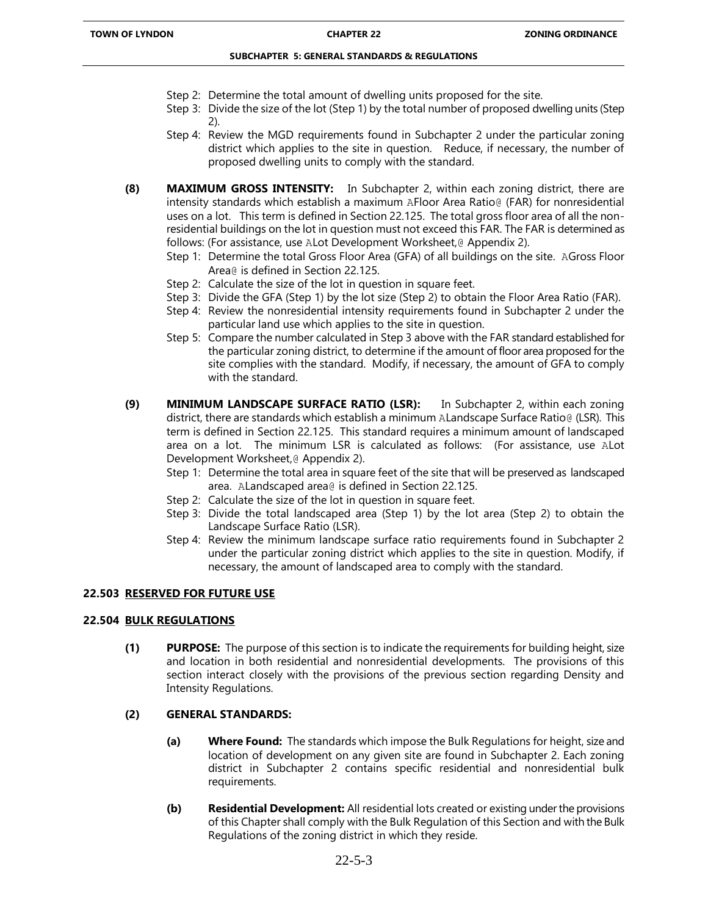- Step 2: Determine the total amount of dwelling units proposed for the site.
- Step 3: Divide the size of the lot (Step 1) by the total number of proposed dwelling units (Step 2).
- Step 4: Review the MGD requirements found in Subchapter 2 under the particular zoning district which applies to the site in question. Reduce, if necessary, the number of proposed dwelling units to comply with the standard.
- **(8) MAXIMUM GROSS INTENSITY:** In Subchapter 2, within each zoning district, there are intensity standards which establish a maximum AFloor Area Ratio@ (FAR) for nonresidential uses on a lot. This term is defined in Section 22.125. The total gross floor area of all the nonresidential buildings on the lot in question must not exceed this FAR. The FAR is determined as follows: (For assistance, use ALot Development Worksheet,@ Appendix 2).
	- Step 1: Determine the total Gross Floor Area (GFA) of all buildings on the site. AGross Floor Area@ is defined in Section 22.125.
	- Step 2: Calculate the size of the lot in question in square feet.
	- Step 3: Divide the GFA (Step 1) by the lot size (Step 2) to obtain the Floor Area Ratio (FAR).
	- Step 4: Review the nonresidential intensity requirements found in Subchapter 2 under the particular land use which applies to the site in question.
	- Step 5: Compare the number calculated in Step 3 above with the FAR standard established for the particular zoning district, to determine if the amount of floor area proposed for the site complies with the standard. Modify, if necessary, the amount of GFA to comply with the standard.
- **(9) MINIMUM LANDSCAPE SURFACE RATIO (LSR):** In Subchapter 2, within each zoning district, there are standards which establish a minimum ALandscape Surface Ratio@ (LSR). This term is defined in Section 22.125. This standard requires a minimum amount of landscaped area on a lot. The minimum LSR is calculated as follows: (For assistance, use ALot Development Worksheet,@ Appendix 2).
	- Step 1: Determine the total area in square feet of the site that will be preserved as landscaped area. ALandscaped area@ is defined in Section 22.125.
	- Step 2: Calculate the size of the lot in question in square feet.
	- Step 3: Divide the total landscaped area (Step 1) by the lot area (Step 2) to obtain the Landscape Surface Ratio (LSR).
	- Step 4: Review the minimum landscape surface ratio requirements found in Subchapter 2 under the particular zoning district which applies to the site in question. Modify, if necessary, the amount of landscaped area to comply with the standard.

# **22.503 RESERVED FOR FUTURE USE**

#### **22.504 BULK REGULATIONS**

**(1) PURPOSE:** The purpose of this section is to indicate the requirements for building height, size and location in both residential and nonresidential developments. The provisions of this section interact closely with the provisions of the previous section regarding Density and Intensity Regulations.

# **(2) GENERAL STANDARDS:**

- **(a) Where Found:** The standards which impose the Bulk Regulations for height, size and location of development on any given site are found in Subchapter 2. Each zoning district in Subchapter 2 contains specific residential and nonresidential bulk requirements.
- **(b) Residential Development:** All residential lots created or existing under the provisions of this Chapter shall comply with the Bulk Regulation of this Section and with the Bulk Regulations of the zoning district in which they reside.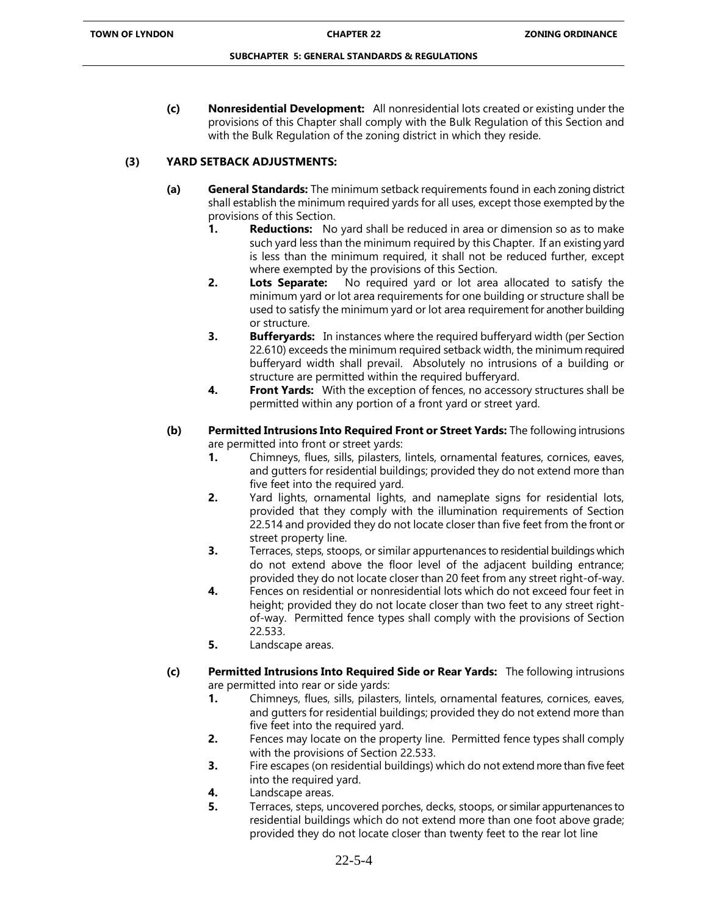**(c) Nonresidential Development:** All nonresidential lots created or existing under the provisions of this Chapter shall comply with the Bulk Regulation of this Section and with the Bulk Regulation of the zoning district in which they reside.

# **(3) YARD SETBACK ADJUSTMENTS:**

- **(a) General Standards:** The minimum setback requirements found in each zoning district shall establish the minimum required yards for all uses, except those exempted by the provisions of this Section.
	- **1. Reductions:** No yard shall be reduced in area or dimension so as to make such yard less than the minimum required by this Chapter. If an existing yard is less than the minimum required, it shall not be reduced further, except where exempted by the provisions of this Section.
	- **2. Lots Separate:** No required yard or lot area allocated to satisfy the minimum yard or lot area requirements for one building or structure shall be used to satisfy the minimum yard or lot area requirement for another building or structure.
	- **3. Bufferyards:** In instances where the required bufferyard width (per Section) 22.610) exceeds the minimum required setback width, the minimum required bufferyard width shall prevail. Absolutely no intrusions of a building or structure are permitted within the required bufferyard.
	- **4. Front Yards:** With the exception of fences, no accessory structures shall be permitted within any portion of a front yard or street yard.
- **(b) Permitted Intrusions Into Required Front or Street Yards:** The following intrusions are permitted into front or street yards:
	- **1.** Chimneys, flues, sills, pilasters, lintels, ornamental features, cornices, eaves, and gutters for residential buildings; provided they do not extend more than five feet into the required yard.
	- **2.** Yard lights, ornamental lights, and nameplate signs for residential lots, provided that they comply with the illumination requirements of Section 22.514 and provided they do not locate closer than five feet from the front or street property line.
	- **3.** Terraces, steps, stoops, or similar appurtenances to residential buildings which do not extend above the floor level of the adjacent building entrance; provided they do not locate closer than 20 feet from any street right-of-way.
	- **4.** Fences on residential or nonresidential lots which do not exceed four feet in height; provided they do not locate closer than two feet to any street rightof-way. Permitted fence types shall comply with the provisions of Section 22.533.
	- **5.** Landscape areas.
- **(c) Permitted Intrusions Into Required Side or Rear Yards:** The following intrusions are permitted into rear or side yards:
	- **1.** Chimneys, flues, sills, pilasters, lintels, ornamental features, cornices, eaves, and gutters for residential buildings; provided they do not extend more than five feet into the required yard.
	- **2.** Fences may locate on the property line. Permitted fence types shall comply with the provisions of Section 22.533.
	- **3.** Fire escapes (on residential buildings) which do not extend more than five feet into the required yard.
	- **4.** Landscape areas.
	- **5.** Terraces, steps, uncovered porches, decks, stoops, or similar appurtenances to residential buildings which do not extend more than one foot above grade; provided they do not locate closer than twenty feet to the rear lot line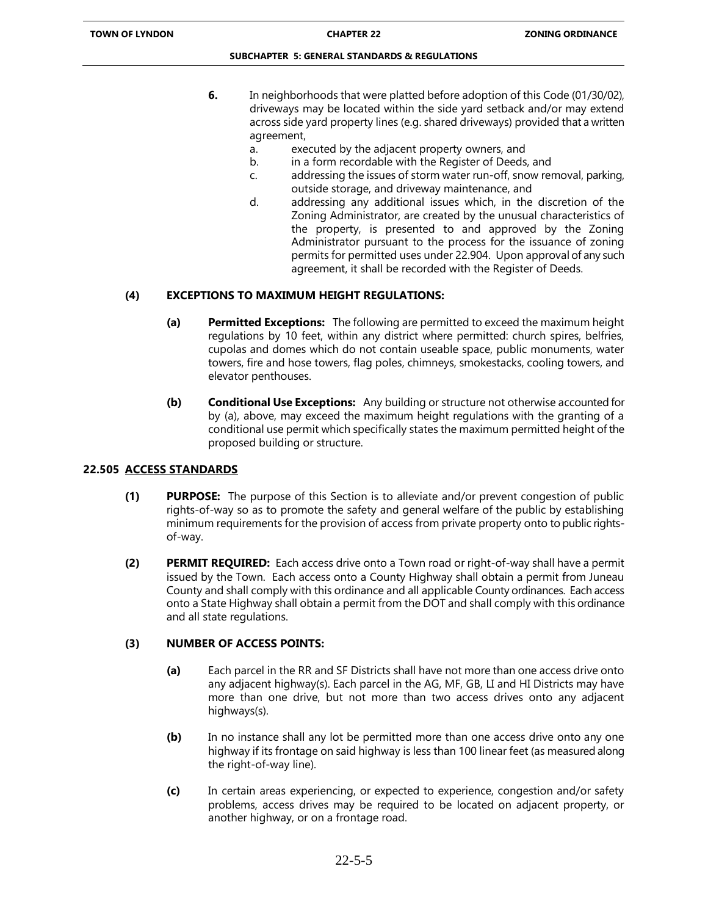- **6.** In neighborhoods that were platted before adoption of this Code (01/30/02), driveways may be located within the side yard setback and/or may extend across side yard property lines (e.g. shared driveways) provided that a written agreement,
	- a. executed by the adjacent property owners, and
	- b. in a form recordable with the Register of Deeds, and
	- c. addressing the issues of storm water run-off, snow removal, parking, outside storage, and driveway maintenance, and
	- d. addressing any additional issues which, in the discretion of the Zoning Administrator, are created by the unusual characteristics of the property, is presented to and approved by the Zoning Administrator pursuant to the process for the issuance of zoning permits for permitted uses under 22.904. Upon approval of any such agreement, it shall be recorded with the Register of Deeds.

# **(4) EXCEPTIONS TO MAXIMUM HEIGHT REGULATIONS:**

- **(a) Permitted Exceptions:** The following are permitted to exceed the maximum height regulations by 10 feet, within any district where permitted: church spires, belfries, cupolas and domes which do not contain useable space, public monuments, water towers, fire and hose towers, flag poles, chimneys, smokestacks, cooling towers, and elevator penthouses.
- **(b) Conditional Use Exceptions:** Any building or structure not otherwise accounted for by (a), above, may exceed the maximum height regulations with the granting of a conditional use permit which specifically states the maximum permitted height of the proposed building or structure.

# **22.505 ACCESS STANDARDS**

- **(1) PURPOSE:** The purpose of this Section is to alleviate and/or prevent congestion of public rights-of-way so as to promote the safety and general welfare of the public by establishing minimum requirements for the provision of access from private property onto to public rightsof-way.
- **(2) PERMIT REQUIRED:** Each access drive onto a Town road or right-of-way shall have a permit issued by the Town. Each access onto a County Highway shall obtain a permit from Juneau County and shall comply with this ordinance and all applicable County ordinances. Each access onto a State Highway shall obtain a permit from the DOT and shall comply with this ordinance and all state regulations.

# **(3) NUMBER OF ACCESS POINTS:**

- **(a)** Each parcel in the RR and SF Districts shall have not more than one access drive onto any adjacent highway(s). Each parcel in the AG, MF, GB, LI and HI Districts may have more than one drive, but not more than two access drives onto any adjacent highways(s).
- **(b)** In no instance shall any lot be permitted more than one access drive onto any one highway if its frontage on said highway is less than 100 linear feet (as measured along the right-of-way line).
- **(c)** In certain areas experiencing, or expected to experience, congestion and/or safety problems, access drives may be required to be located on adjacent property, or another highway, or on a frontage road.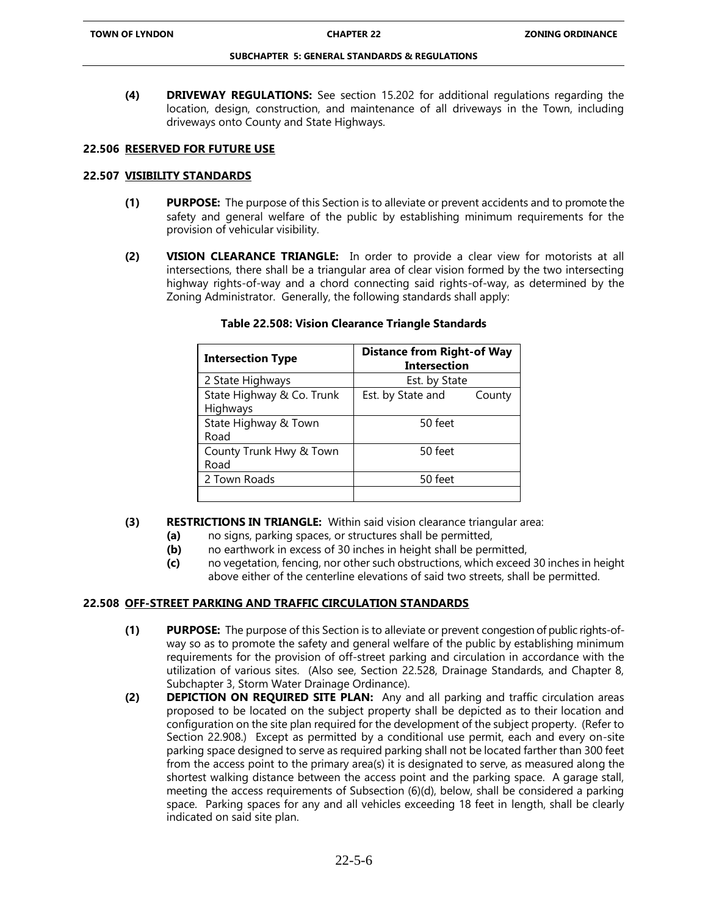**(4) DRIVEWAY REGULATIONS:** See section 15.202 for additional regulations regarding the location, design, construction, and maintenance of all driveways in the Town, including driveways onto County and State Highways.

### **22.506 RESERVED FOR FUTURE USE**

### **22.507 VISIBILITY STANDARDS**

- **(1) PURPOSE:** The purpose of this Section is to alleviate or prevent accidents and to promote the safety and general welfare of the public by establishing minimum requirements for the provision of vehicular visibility.
- **(2) VISION CLEARANCE TRIANGLE:** In order to provide a clear view for motorists at all intersections, there shall be a triangular area of clear vision formed by the two intersecting highway rights-of-way and a chord connecting said rights-of-way, as determined by the Zoning Administrator. Generally, the following standards shall apply:

| <b>Intersection Type</b>              | <b>Distance from Right-of Way</b><br><b>Intersection</b> |
|---------------------------------------|----------------------------------------------------------|
| 2 State Highways                      | Est. by State                                            |
| State Highway & Co. Trunk<br>Highways | Est. by State and<br>County                              |
| State Highway & Town<br>Road          | 50 feet                                                  |
| County Trunk Hwy & Town<br>Road       | 50 feet                                                  |
| 2 Town Roads                          | 50 feet                                                  |
|                                       |                                                          |

### **Table 22.508: Vision Clearance Triangle Standards**

- **(3) RESTRICTIONS IN TRIANGLE:** Within said vision clearance triangular area:
	- **(a)** no signs, parking spaces, or structures shall be permitted,
	- **(b)** no earthwork in excess of 30 inches in height shall be permitted,
	- **(c)** no vegetation, fencing, nor other such obstructions, which exceed 30 inches in height above either of the centerline elevations of said two streets, shall be permitted.

# **22.508 OFF-STREET PARKING AND TRAFFIC CIRCULATION STANDARDS**

- **(1) PURPOSE:** The purpose of this Section is to alleviate or prevent congestion of public rights-ofway so as to promote the safety and general welfare of the public by establishing minimum requirements for the provision of off-street parking and circulation in accordance with the utilization of various sites. (Also see, Section 22.528, Drainage Standards, and Chapter 8, Subchapter 3, Storm Water Drainage Ordinance).
- **(2) DEPICTION ON REQUIRED SITE PLAN:** Any and all parking and traffic circulation areas proposed to be located on the subject property shall be depicted as to their location and configuration on the site plan required for the development of the subject property. (Refer to Section 22.908.) Except as permitted by a conditional use permit, each and every on-site parking space designed to serve as required parking shall not be located farther than 300 feet from the access point to the primary area(s) it is designated to serve, as measured along the shortest walking distance between the access point and the parking space. A garage stall, meeting the access requirements of Subsection (6)(d), below, shall be considered a parking space. Parking spaces for any and all vehicles exceeding 18 feet in length, shall be clearly indicated on said site plan.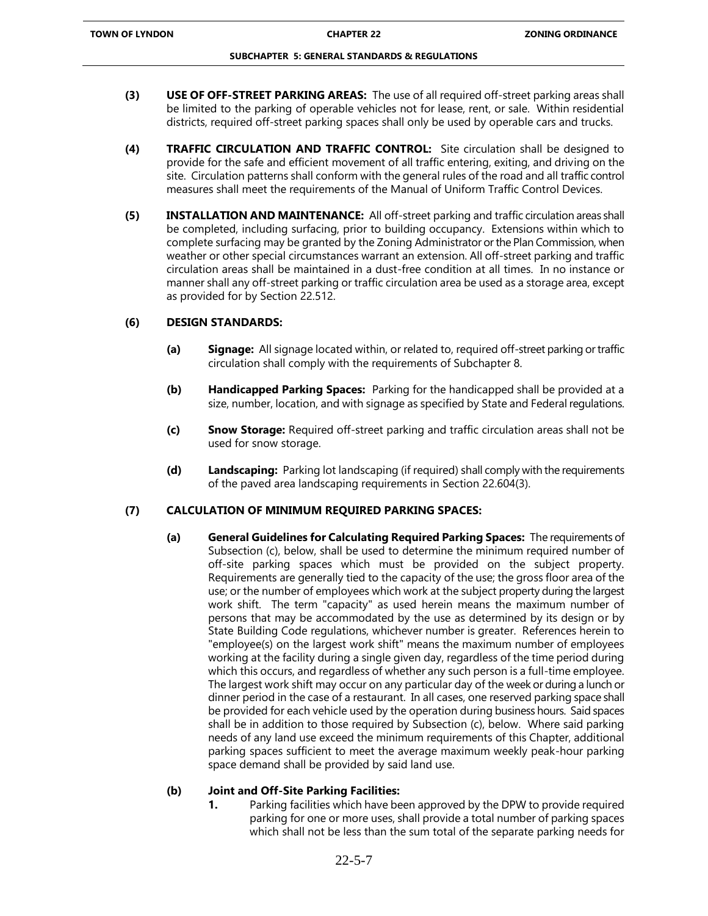- **(3) USE OF OFF-STREET PARKING AREAS:** The use of all required off-street parking areas shall be limited to the parking of operable vehicles not for lease, rent, or sale. Within residential districts, required off-street parking spaces shall only be used by operable cars and trucks.
- **(4) TRAFFIC CIRCULATION AND TRAFFIC CONTROL:** Site circulation shall be designed to provide for the safe and efficient movement of all traffic entering, exiting, and driving on the site. Circulation patterns shall conform with the general rules of the road and all traffic control measures shall meet the requirements of the Manual of Uniform Traffic Control Devices.
- **(5) INSTALLATION AND MAINTENANCE:** All off-street parking and traffic circulation areas shall be completed, including surfacing, prior to building occupancy. Extensions within which to complete surfacing may be granted by the Zoning Administrator or the Plan Commission, when weather or other special circumstances warrant an extension. All off-street parking and traffic circulation areas shall be maintained in a dust-free condition at all times. In no instance or manner shall any off-street parking or traffic circulation area be used as a storage area, except as provided for by Section 22.512.

# **(6) DESIGN STANDARDS:**

- **(a) Signage:** All signage located within, or related to, required off-street parking or traffic circulation shall comply with the requirements of Subchapter 8.
- **(b) Handicapped Parking Spaces:** Parking for the handicapped shall be provided at a size, number, location, and with signage as specified by State and Federal regulations.
- **(c) Snow Storage:** Required off-street parking and traffic circulation areas shall not be used for snow storage.
- **(d) Landscaping:** Parking lot landscaping (if required) shall comply with the requirements of the paved area landscaping requirements in Section 22.604(3).

# **(7) CALCULATION OF MINIMUM REQUIRED PARKING SPACES:**

**(a) General Guidelines for Calculating Required Parking Spaces:** The requirements of Subsection (c), below, shall be used to determine the minimum required number of off-site parking spaces which must be provided on the subject property. Requirements are generally tied to the capacity of the use; the gross floor area of the use; or the number of employees which work at the subject property during the largest work shift. The term "capacity" as used herein means the maximum number of persons that may be accommodated by the use as determined by its design or by State Building Code regulations, whichever number is greater. References herein to "employee(s) on the largest work shift" means the maximum number of employees working at the facility during a single given day, regardless of the time period during which this occurs, and regardless of whether any such person is a full-time employee. The largest work shift may occur on any particular day of the week or during a lunch or dinner period in the case of a restaurant. In all cases, one reserved parking space shall be provided for each vehicle used by the operation during business hours. Said spaces shall be in addition to those required by Subsection (c), below. Where said parking needs of any land use exceed the minimum requirements of this Chapter, additional parking spaces sufficient to meet the average maximum weekly peak-hour parking space demand shall be provided by said land use.

# **(b) Joint and Off-Site Parking Facilities:**

**1.** Parking facilities which have been approved by the DPW to provide required parking for one or more uses, shall provide a total number of parking spaces which shall not be less than the sum total of the separate parking needs for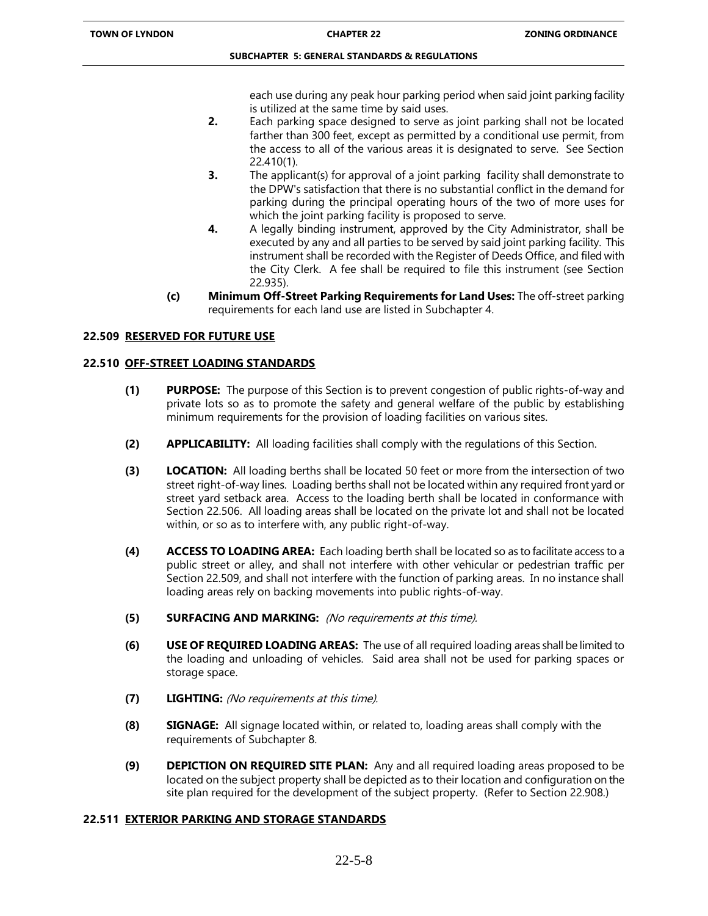each use during any peak hour parking period when said joint parking facility is utilized at the same time by said uses.

- **2.** Each parking space designed to serve as joint parking shall not be located farther than 300 feet, except as permitted by a conditional use permit, from the access to all of the various areas it is designated to serve. See Section 22.410(1).
- **3.** The applicant(s) for approval of a joint parking facility shall demonstrate to the DPW's satisfaction that there is no substantial conflict in the demand for parking during the principal operating hours of the two of more uses for which the joint parking facility is proposed to serve.
- **4.** A legally binding instrument, approved by the City Administrator, shall be executed by any and all parties to be served by said joint parking facility. This instrument shall be recorded with the Register of Deeds Office, and filed with the City Clerk. A fee shall be required to file this instrument (see Section 22.935).
- **(c) Minimum Off-Street Parking Requirements for Land Uses:** The off-street parking requirements for each land use are listed in Subchapter 4.

# **22.509 RESERVED FOR FUTURE USE**

# **22.510 OFF-STREET LOADING STANDARDS**

- **(1) PURPOSE:** The purpose of this Section is to prevent congestion of public rights-of-way and private lots so as to promote the safety and general welfare of the public by establishing minimum requirements for the provision of loading facilities on various sites.
- **(2) APPLICABILITY:** All loading facilities shall comply with the regulations of this Section.
- **(3) LOCATION:** All loading berths shall be located 50 feet or more from the intersection of two street right-of-way lines. Loading berths shall not be located within any required front yard or street yard setback area. Access to the loading berth shall be located in conformance with Section 22.506. All loading areas shall be located on the private lot and shall not be located within, or so as to interfere with, any public right-of-way.
- **(4) ACCESS TO LOADING AREA:** Each loading berth shall be located so as to facilitate access to a public street or alley, and shall not interfere with other vehicular or pedestrian traffic per Section 22.509, and shall not interfere with the function of parking areas. In no instance shall loading areas rely on backing movements into public rights-of-way.
- **(5) SURFACING AND MARKING:** (No requirements at this time).
- **(6) USE OF REQUIRED LOADING AREAS:** The use of all required loading areas shall be limited to the loading and unloading of vehicles. Said area shall not be used for parking spaces or storage space.
- **(7) LIGHTING:** (No requirements at this time).
- **(8) SIGNAGE:** All signage located within, or related to, loading areas shall comply with the requirements of Subchapter 8.
- **(9) DEPICTION ON REQUIRED SITE PLAN:** Any and all required loading areas proposed to be located on the subject property shall be depicted as to their location and configuration on the site plan required for the development of the subject property. (Refer to Section 22.908.)

# **22.511 EXTERIOR PARKING AND STORAGE STANDARDS**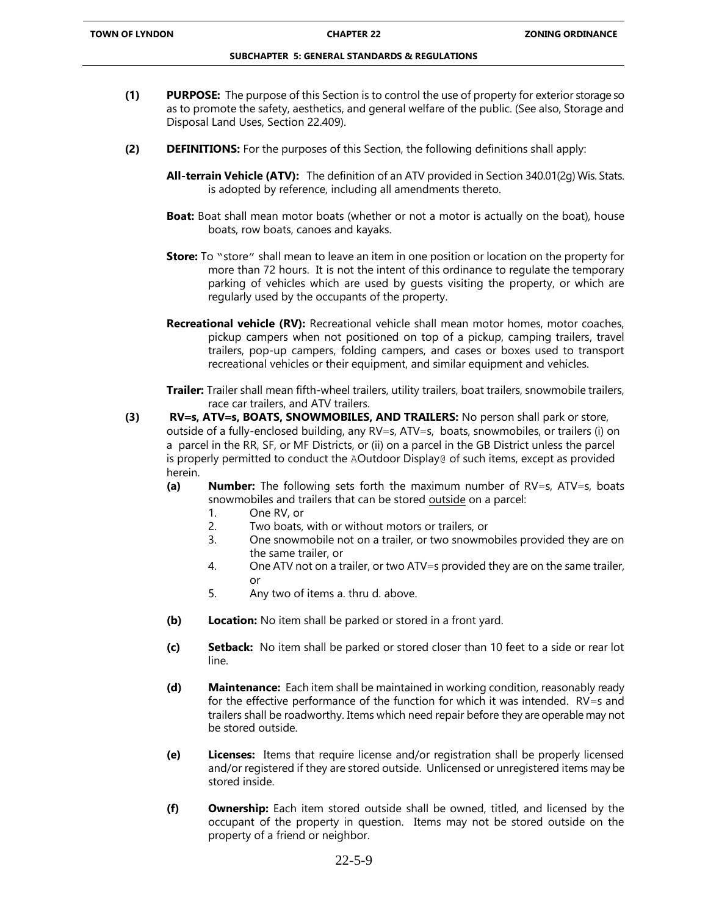- **(1) PURPOSE:** The purpose of this Section is to control the use of property for exterior storage so as to promote the safety, aesthetics, and general welfare of the public. (See also, Storage and Disposal Land Uses, Section 22.409).
- **(2) DEFINITIONS:** For the purposes of this Section, the following definitions shall apply:
	- **All-terrain Vehicle (ATV):** The definition of an ATV provided in Section 340.01(2g) Wis. Stats. is adopted by reference, including all amendments thereto.
	- **Boat:** Boat shall mean motor boats (whether or not a motor is actually on the boat), house boats, row boats, canoes and kayaks.
	- **Store:** To "store" shall mean to leave an item in one position or location on the property for more than 72 hours. It is not the intent of this ordinance to regulate the temporary parking of vehicles which are used by guests visiting the property, or which are regularly used by the occupants of the property.
	- **Recreational vehicle (RV):** Recreational vehicle shall mean motor homes, motor coaches, pickup campers when not positioned on top of a pickup, camping trailers, travel trailers, pop-up campers, folding campers, and cases or boxes used to transport recreational vehicles or their equipment, and similar equipment and vehicles.

**Trailer:** Trailer shall mean fifth-wheel trailers, utility trailers, boat trailers, snowmobile trailers, race car trailers, and ATV trailers.

- **(3) RV=s, ATV=s, BOATS, SNOWMOBILES, AND TRAILERS:** No person shall park or store, outside of a fully-enclosed building, any RV=s, ATV=s, boats, snowmobiles, or trailers (i) on a parcel in the RR, SF, or MF Districts, or (ii) on a parcel in the GB District unless the parcel is properly permitted to conduct the AOutdoor Display@ of such items, except as provided herein.
	- **(a) Number:** The following sets forth the maximum number of RV=s, ATV=s, boats snowmobiles and trailers that can be stored outside on a parcel:
		- 1. One RV, or
		- 2. Two boats, with or without motors or trailers, or
		- 3. One snowmobile not on a trailer, or two snowmobiles provided they are on the same trailer, or
		- 4. One ATV not on a trailer, or two ATV=s provided they are on the same trailer, or
		- 5. Any two of items a. thru d. above.
	- **(b) Location:** No item shall be parked or stored in a front yard.
	- **(c) Setback:** No item shall be parked or stored closer than 10 feet to a side or rear lot line.
	- **(d) Maintenance:** Each item shall be maintained in working condition, reasonably ready for the effective performance of the function for which it was intended. RV=s and trailers shall be roadworthy. Items which need repair before they are operable may not be stored outside.
	- **(e) Licenses:** Items that require license and/or registration shall be properly licensed and/or registered if they are stored outside. Unlicensed or unregistered items may be stored inside.
	- **(f) Ownership:** Each item stored outside shall be owned, titled, and licensed by the occupant of the property in question. Items may not be stored outside on the property of a friend or neighbor.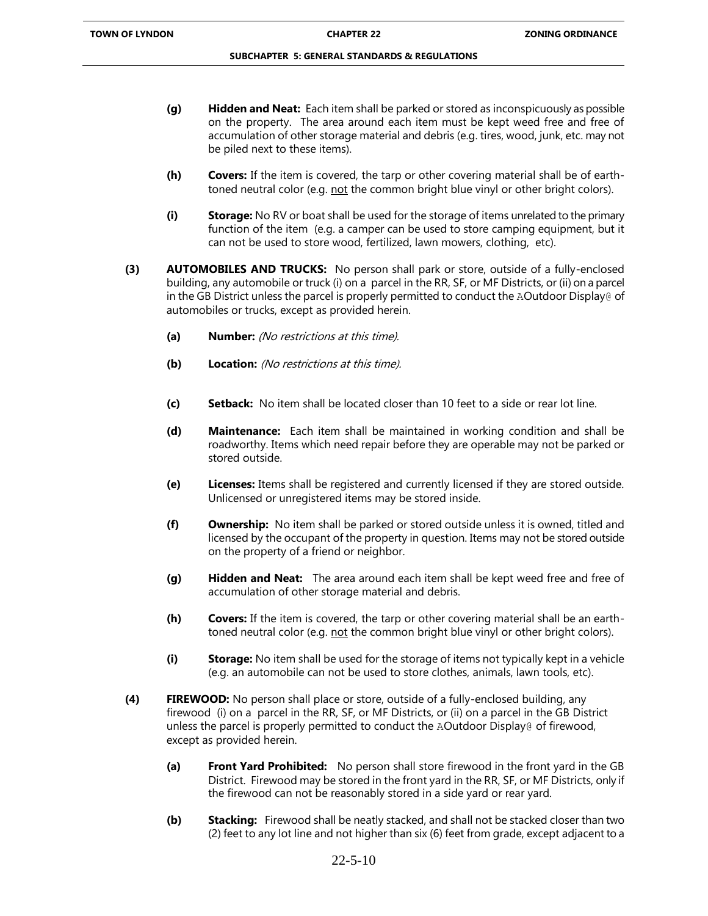- **(g) Hidden and Neat:** Each item shall be parked or stored as inconspicuously as possible on the property. The area around each item must be kept weed free and free of accumulation of other storage material and debris (e.g. tires, wood, junk, etc. may not be piled next to these items).
- **(h) Covers:** If the item is covered, the tarp or other covering material shall be of earthtoned neutral color (e.g. not the common bright blue vinyl or other bright colors).
- **(i) Storage:** No RV or boat shall be used for the storage of items unrelated to the primary function of the item (e.g. a camper can be used to store camping equipment, but it can not be used to store wood, fertilized, lawn mowers, clothing, etc).
- **(3) AUTOMOBILES AND TRUCKS:** No person shall park or store, outside of a fully-enclosed building, any automobile or truck (i) on a parcel in the RR, SF, or MF Districts, or (ii) on a parcel in the GB District unless the parcel is properly permitted to conduct the AOutdoor Display@ of automobiles or trucks, except as provided herein.
	- **(a) Number:** (No restrictions at this time).
	- **(b) Location:** (No restrictions at this time).
	- **(c) Setback:** No item shall be located closer than 10 feet to a side or rear lot line.
	- **(d) Maintenance:** Each item shall be maintained in working condition and shall be roadworthy. Items which need repair before they are operable may not be parked or stored outside.
	- **(e) Licenses:** Items shall be registered and currently licensed if they are stored outside. Unlicensed or unregistered items may be stored inside.
	- **(f) Ownership:** No item shall be parked or stored outside unless it is owned, titled and licensed by the occupant of the property in question. Items may not be stored outside on the property of a friend or neighbor.
	- **(g) Hidden and Neat:** The area around each item shall be kept weed free and free of accumulation of other storage material and debris.
	- **(h) Covers:** If the item is covered, the tarp or other covering material shall be an earthtoned neutral color (e.g. not the common bright blue vinyl or other bright colors).
	- **(i) Storage:** No item shall be used for the storage of items not typically kept in a vehicle (e.g. an automobile can not be used to store clothes, animals, lawn tools, etc).
- **(4) FIREWOOD:** No person shall place or store, outside of a fully-enclosed building, any firewood (i) on a parcel in the RR, SF, or MF Districts, or (ii) on a parcel in the GB District unless the parcel is properly permitted to conduct the AOutdoor Display@ of firewood, except as provided herein.
	- **(a) Front Yard Prohibited:** No person shall store firewood in the front yard in the GB District. Firewood may be stored in the front yard in the RR, SF, or MF Districts, only if the firewood can not be reasonably stored in a side yard or rear yard.
	- **(b) Stacking:** Firewood shall be neatly stacked, and shall not be stacked closer than two (2) feet to any lot line and not higher than six (6) feet from grade, except adjacent to a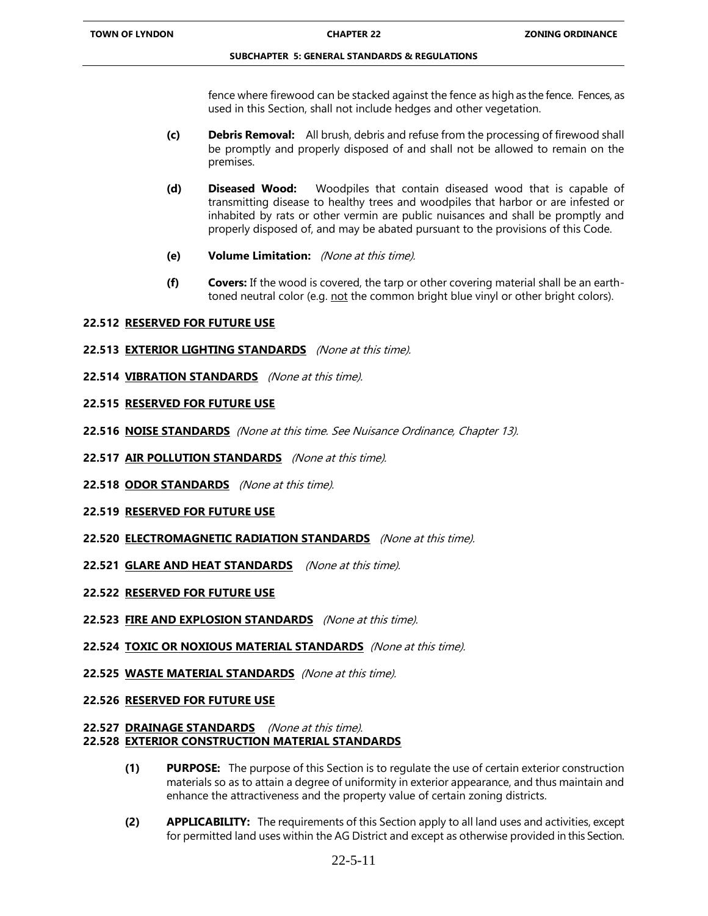fence where firewood can be stacked against the fence as high as the fence. Fences, as used in this Section, shall not include hedges and other vegetation.

- **(c) Debris Removal:** All brush, debris and refuse from the processing of firewood shall be promptly and properly disposed of and shall not be allowed to remain on the premises.
- **(d) Diseased Wood:** Woodpiles that contain diseased wood that is capable of transmitting disease to healthy trees and woodpiles that harbor or are infested or inhabited by rats or other vermin are public nuisances and shall be promptly and properly disposed of, and may be abated pursuant to the provisions of this Code.
- **(e) Volume Limitation:** (None at this time).
- **(f) Covers:** If the wood is covered, the tarp or other covering material shall be an earthtoned neutral color (e.g. not the common bright blue vinyl or other bright colors).

# **22.512 RESERVED FOR FUTURE USE**

- **22.513 EXTERIOR LIGHTING STANDARDS** (None at this time).
- **22.514 VIBRATION STANDARDS** (None at this time).

# **22.515 RESERVED FOR FUTURE USE**

- **22.516 NOISE STANDARDS** (None at this time. See Nuisance Ordinance, Chapter 13).
- **22.517 AIR POLLUTION STANDARDS** (None at this time).
- **22.518 ODOR STANDARDS** (None at this time).
- **22.519 RESERVED FOR FUTURE USE**
- **22.520 ELECTROMAGNETIC RADIATION STANDARDS** (None at this time).
- **22.521 GLARE AND HEAT STANDARDS** (None at this time).
- **22.522 RESERVED FOR FUTURE USE**
- **22.523 FIRE AND EXPLOSION STANDARDS** (None at this time).
- **22.524 TOXIC OR NOXIOUS MATERIAL STANDARDS** (None at this time).
- **22.525 WASTE MATERIAL STANDARDS** (None at this time).
- **22.526 RESERVED FOR FUTURE USE**

### **22.527 DRAINAGE STANDARDS** (None at this time). **22.528 EXTERIOR CONSTRUCTION MATERIAL STANDARDS**

- **(1) PURPOSE:** The purpose of this Section is to regulate the use of certain exterior construction materials so as to attain a degree of uniformity in exterior appearance, and thus maintain and enhance the attractiveness and the property value of certain zoning districts.
- **(2) APPLICABILITY:** The requirements of this Section apply to all land uses and activities, except for permitted land uses within the AG District and except as otherwise provided in this Section.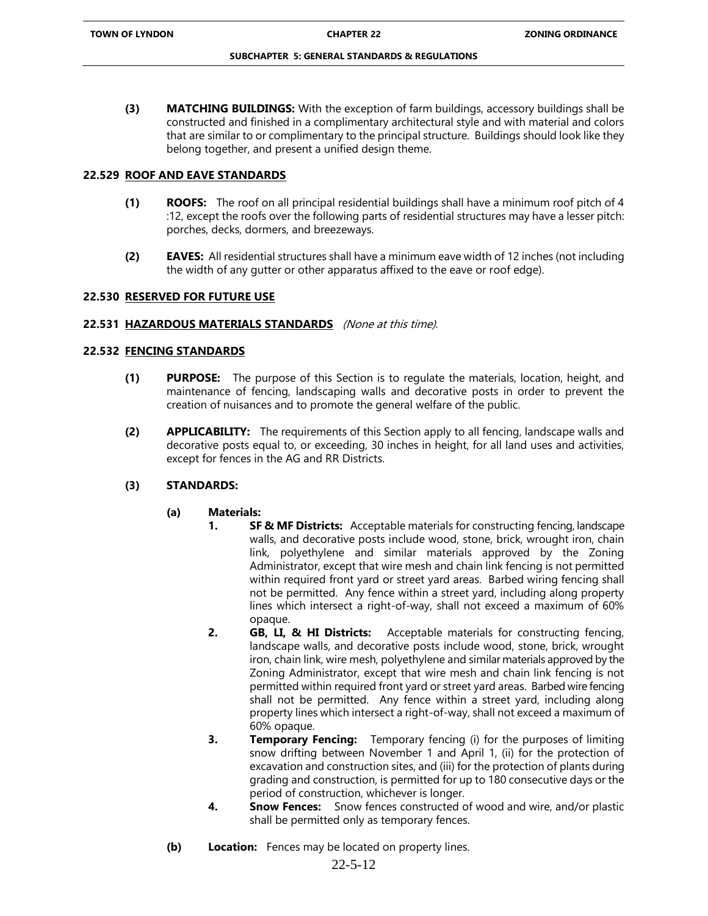**(3) MATCHING BUILDINGS:** With the exception of farm buildings, accessory buildings shall be constructed and finished in a complimentary architectural style and with material and colors that are similar to or complimentary to the principal structure. Buildings should look like they belong together, and present a unified design theme.

# **22.529 ROOF AND EAVE STANDARDS**

- **(1) ROOFS:** The roof on all principal residential buildings shall have a minimum roof pitch of 4 :12, except the roofs over the following parts of residential structures may have a lesser pitch: porches, decks, dormers, and breezeways.
- **(2) EAVES:** All residential structures shall have a minimum eave width of 12 inches (not including the width of any gutter or other apparatus affixed to the eave or roof edge).

### **22.530 RESERVED FOR FUTURE USE**

### **22.531 HAZARDOUS MATERIALS STANDARDS** (None at this time).

### **22.532 FENCING STANDARDS**

- **(1) PURPOSE:** The purpose of this Section is to regulate the materials, location, height, and maintenance of fencing, landscaping walls and decorative posts in order to prevent the creation of nuisances and to promote the general welfare of the public.
- **(2) APPLICABILITY:** The requirements of this Section apply to all fencing, landscape walls and decorative posts equal to, or exceeding, 30 inches in height, for all land uses and activities, except for fences in the AG and RR Districts.

# **(3) STANDARDS:**

# **(a) Materials:**

- **1. SF & MF Districts:** Acceptable materials for constructing fencing, landscape walls, and decorative posts include wood, stone, brick, wrought iron, chain link, polyethylene and similar materials approved by the Zoning Administrator, except that wire mesh and chain link fencing is not permitted within required front yard or street yard areas. Barbed wiring fencing shall not be permitted. Any fence within a street yard, including along property lines which intersect a right-of-way, shall not exceed a maximum of 60% opaque.
- **2. GB, LI, & HI Districts:** Acceptable materials for constructing fencing, landscape walls, and decorative posts include wood, stone, brick, wrought iron, chain link, wire mesh, polyethylene and similar materials approved by the Zoning Administrator, except that wire mesh and chain link fencing is not permitted within required front yard or street yard areas. Barbed wire fencing shall not be permitted. Any fence within a street yard, including along property lines which intersect a right-of-way, shall not exceed a maximum of 60% opaque.
- **3. Temporary Fencing:** Temporary fencing (i) for the purposes of limiting snow drifting between November 1 and April 1, (ii) for the protection of excavation and construction sites, and (iii) for the protection of plants during grading and construction, is permitted for up to 180 consecutive days or the period of construction, whichever is longer.
- **4. Snow Fences:** Snow fences constructed of wood and wire, and/or plastic shall be permitted only as temporary fences.
- **(b) Location:** Fences may be located on property lines.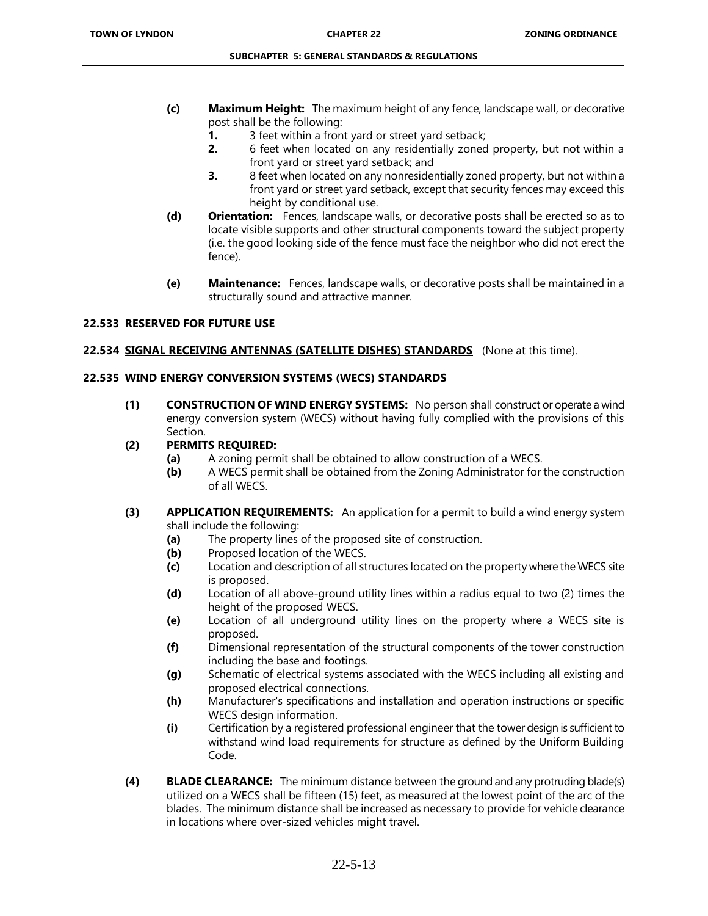- **(c) Maximum Height:** The maximum height of any fence, landscape wall, or decorative post shall be the following:
	- **1.** 3 feet within a front yard or street yard setback;
	- **2.** 6 feet when located on any residentially zoned property, but not within a front yard or street yard setback; and
	- **3.** 8 feet when located on any nonresidentially zoned property, but not within a front yard or street yard setback, except that security fences may exceed this height by conditional use.
- **(d) Orientation:** Fences, landscape walls, or decorative posts shall be erected so as to locate visible supports and other structural components toward the subject property (i.e. the good looking side of the fence must face the neighbor who did not erect the fence).
- **(e) Maintenance:** Fences, landscape walls, or decorative posts shall be maintained in a structurally sound and attractive manner.

# **22.533 RESERVED FOR FUTURE USE**

### **22.534 SIGNAL RECEIVING ANTENNAS (SATELLITE DISHES) STANDARDS** (None at this time).

### **22.535 WIND ENERGY CONVERSION SYSTEMS (WECS) STANDARDS**

**(1) CONSTRUCTION OF WIND ENERGY SYSTEMS:** No person shall construct or operate a wind energy conversion system (WECS) without having fully complied with the provisions of this Section.

# **(2) PERMITS REQUIRED:**

- **(a)** A zoning permit shall be obtained to allow construction of a WECS.
- **(b)** A WECS permit shall be obtained from the Zoning Administrator for the construction of all WECS.
- **(3) APPLICATION REQUIREMENTS:** An application for a permit to build a wind energy system shall include the following:
	- **(a)** The property lines of the proposed site of construction.
	- **(b)** Proposed location of the WECS.
	- **(c)** Location and description of all structures located on the property where the WECS site is proposed.
	- **(d)** Location of all above-ground utility lines within a radius equal to two (2) times the height of the proposed WECS.
	- **(e)** Location of all underground utility lines on the property where a WECS site is proposed.
	- **(f)** Dimensional representation of the structural components of the tower construction including the base and footings.
	- **(g)** Schematic of electrical systems associated with the WECS including all existing and proposed electrical connections.
	- **(h)** Manufacturer's specifications and installation and operation instructions or specific WECS design information.
	- **(i)** Certification by a registered professional engineer that the tower design is sufficient to withstand wind load requirements for structure as defined by the Uniform Building Code.
- **(4) BLADE CLEARANCE:** The minimum distance between the ground and any protruding blade(s) utilized on a WECS shall be fifteen (15) feet, as measured at the lowest point of the arc of the blades. The minimum distance shall be increased as necessary to provide for vehicle clearance in locations where over-sized vehicles might travel.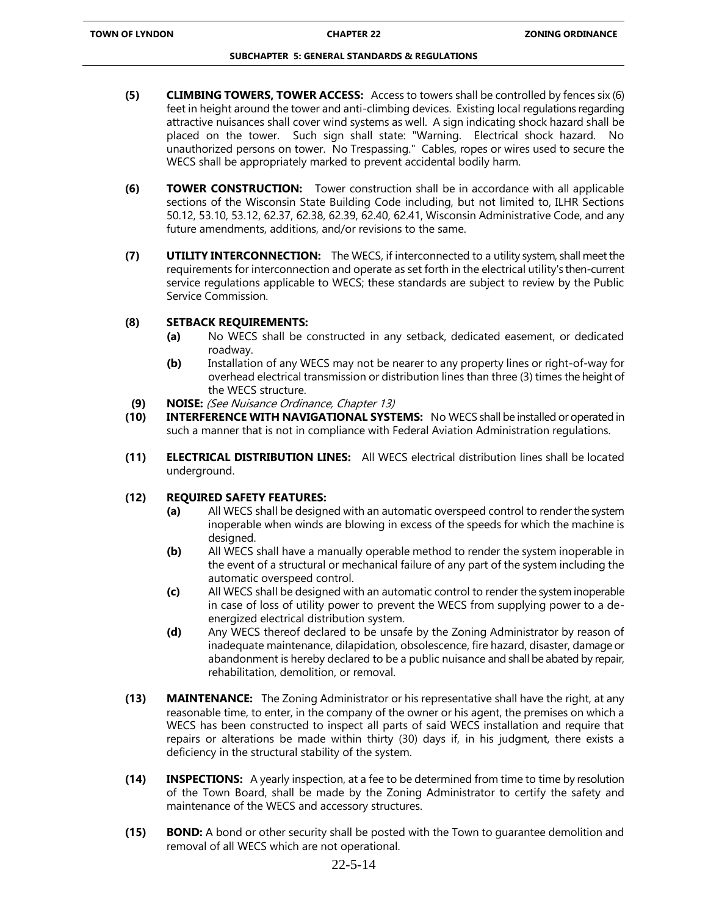- **(5) CLIMBING TOWERS, TOWER ACCESS:** Access to towers shall be controlled by fences six (6) feet in height around the tower and anti-climbing devices. Existing local regulations regarding attractive nuisances shall cover wind systems as well. A sign indicating shock hazard shall be placed on the tower. Such sign shall state: "Warning. Electrical shock hazard. No unauthorized persons on tower. No Trespassing." Cables, ropes or wires used to secure the WECS shall be appropriately marked to prevent accidental bodily harm.
- **(6) TOWER CONSTRUCTION:** Tower construction shall be in accordance with all applicable sections of the Wisconsin State Building Code including, but not limited to, ILHR Sections 50.12, 53.10, 53.12, 62.37, 62.38, 62.39, 62.40, 62.41, Wisconsin Administrative Code, and any future amendments, additions, and/or revisions to the same.
- **(7) UTILITY INTERCONNECTION:** The WECS, if interconnected to a utility system, shall meet the requirements for interconnection and operate as set forth in the electrical utility's then-current service regulations applicable to WECS; these standards are subject to review by the Public Service Commission.

# **(8) SETBACK REQUIREMENTS:**

- **(a)** No WECS shall be constructed in any setback, dedicated easement, or dedicated roadway.
- **(b)** Installation of any WECS may not be nearer to any property lines or right-of-way for overhead electrical transmission or distribution lines than three (3) times the height of the WECS structure.
- **(9) NOISE:** (See Nuisance Ordinance, Chapter 13)
- **(10) INTERFERENCE WITH NAVIGATIONAL SYSTEMS:** No WECS shall be installed or operated in such a manner that is not in compliance with Federal Aviation Administration regulations.
- **(11) ELECTRICAL DISTRIBUTION LINES:** All WECS electrical distribution lines shall be located underground.

# **(12) REQUIRED SAFETY FEATURES:**

- **(a)** All WECS shall be designed with an automatic overspeed control to render the system inoperable when winds are blowing in excess of the speeds for which the machine is desianed.
- **(b)** All WECS shall have a manually operable method to render the system inoperable in the event of a structural or mechanical failure of any part of the system including the automatic overspeed control.
- **(c)** All WECS shall be designed with an automatic control to render the system inoperable in case of loss of utility power to prevent the WECS from supplying power to a deenergized electrical distribution system.
- **(d)** Any WECS thereof declared to be unsafe by the Zoning Administrator by reason of inadequate maintenance, dilapidation, obsolescence, fire hazard, disaster, damage or abandonment is hereby declared to be a public nuisance and shall be abated by repair, rehabilitation, demolition, or removal.
- **(13) MAINTENANCE:** The Zoning Administrator or his representative shall have the right, at any reasonable time, to enter, in the company of the owner or his agent, the premises on which a WECS has been constructed to inspect all parts of said WECS installation and require that repairs or alterations be made within thirty (30) days if, in his judgment, there exists a deficiency in the structural stability of the system.
- **(14) INSPECTIONS:** A yearly inspection, at a fee to be determined from time to time by resolution of the Town Board, shall be made by the Zoning Administrator to certify the safety and maintenance of the WECS and accessory structures.
- **(15) BOND:** A bond or other security shall be posted with the Town to guarantee demolition and removal of all WECS which are not operational.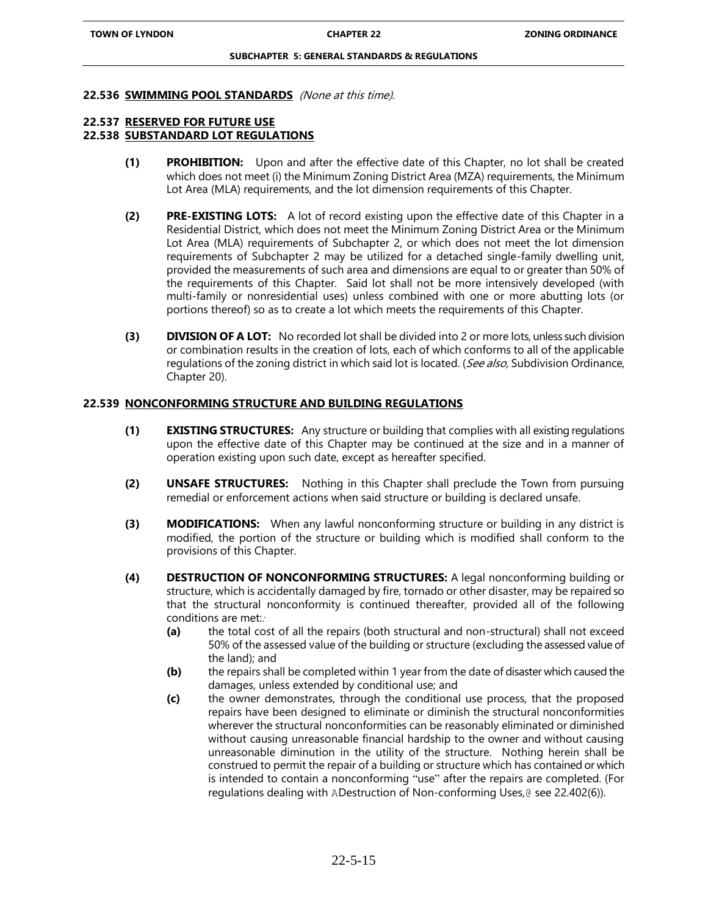#### **22.536 SWIMMING POOL STANDARDS** (None at this time).

### **22.537 RESERVED FOR FUTURE USE**

# **22.538 SUBSTANDARD LOT REGULATIONS**

- **(1) PROHIBITION:** Upon and after the effective date of this Chapter, no lot shall be created which does not meet (i) the Minimum Zoning District Area (MZA) requirements, the Minimum Lot Area (MLA) requirements, and the lot dimension requirements of this Chapter.
- **(2) PRE-EXISTING LOTS:** A lot of record existing upon the effective date of this Chapter in a Residential District, which does not meet the Minimum Zoning District Area or the Minimum Lot Area (MLA) requirements of Subchapter 2, or which does not meet the lot dimension requirements of Subchapter 2 may be utilized for a detached single-family dwelling unit, provided the measurements of such area and dimensions are equal to or greater than 50% of the requirements of this Chapter. Said lot shall not be more intensively developed (with multi-family or nonresidential uses) unless combined with one or more abutting lots (or portions thereof) so as to create a lot which meets the requirements of this Chapter.
- **(3) DIVISION OF A LOT:** No recorded lot shall be divided into 2 or more lots, unless such division or combination results in the creation of lots, each of which conforms to all of the applicable regulations of the zoning district in which said lot is located. (See also, Subdivision Ordinance, Chapter 20).

### **22.539 NONCONFORMING STRUCTURE AND BUILDING REGULATIONS**

- **(1) EXISTING STRUCTURES:** Any structure or building that complies with all existing regulations upon the effective date of this Chapter may be continued at the size and in a manner of operation existing upon such date, except as hereafter specified.
- **(2) UNSAFE STRUCTURES:** Nothing in this Chapter shall preclude the Town from pursuing remedial or enforcement actions when said structure or building is declared unsafe.
- **(3) MODIFICATIONS:** When any lawful nonconforming structure or building in any district is modified, the portion of the structure or building which is modified shall conform to the provisions of this Chapter.
- **(4) DESTRUCTION OF NONCONFORMING STRUCTURES:** A legal nonconforming building or structure, which is accidentally damaged by fire, tornado or other disaster, may be repaired so that the structural nonconformity is continued thereafter, provided all of the following conditions are met::
	- **(a)** the total cost of all the repairs (both structural and non-structural) shall not exceed 50% of the assessed value of the building or structure (excluding the assessed value of the land); and
	- **(b)** the repairs shall be completed within 1 year from the date of disaster which caused the damages, unless extended by conditional use; and
	- **(c)** the owner demonstrates, through the conditional use process, that the proposed repairs have been designed to eliminate or diminish the structural nonconformities wherever the structural nonconformities can be reasonably eliminated or diminished without causing unreasonable financial hardship to the owner and without causing unreasonable diminution in the utility of the structure. Nothing herein shall be construed to permit the repair of a building or structure which has contained or which is intended to contain a nonconforming "use" after the repairs are completed. (For regulations dealing with ADestruction of Non-conforming Uses,@ see 22.402(6)).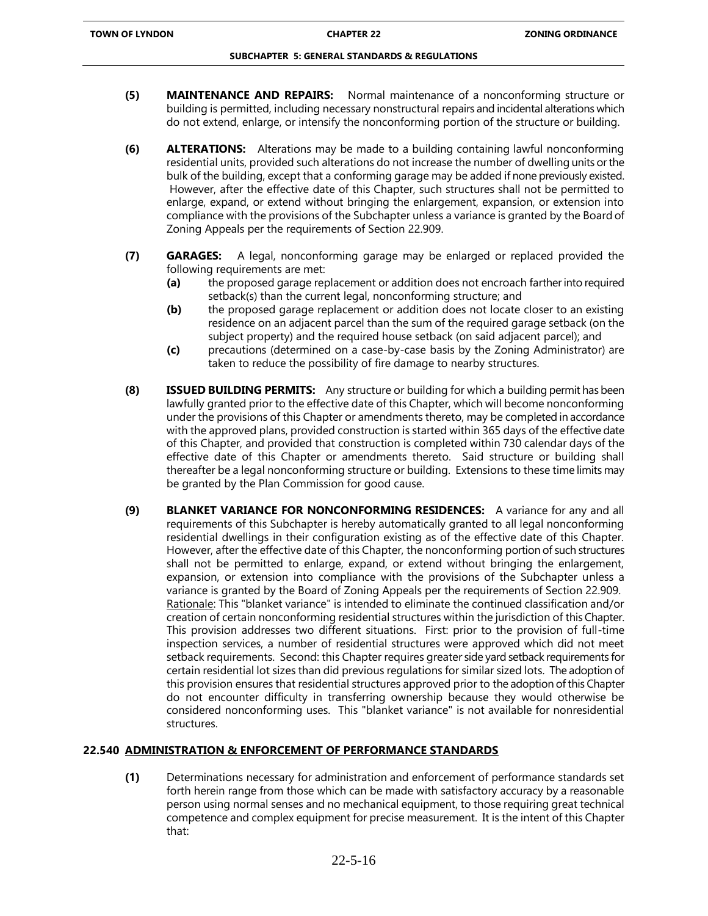- **(5) MAINTENANCE AND REPAIRS:** Normal maintenance of a nonconforming structure or building is permitted, including necessary nonstructural repairs and incidental alterations which do not extend, enlarge, or intensify the nonconforming portion of the structure or building.
- **(6) ALTERATIONS:** Alterations may be made to a building containing lawful nonconforming residential units, provided such alterations do not increase the number of dwelling units or the bulk of the building, except that a conforming garage may be added if none previously existed. However, after the effective date of this Chapter, such structures shall not be permitted to enlarge, expand, or extend without bringing the enlargement, expansion, or extension into compliance with the provisions of the Subchapter unless a variance is granted by the Board of Zoning Appeals per the requirements of Section 22.909.
- **(7) GARAGES:** A legal, nonconforming garage may be enlarged or replaced provided the following requirements are met:
	- **(a)** the proposed garage replacement or addition does not encroach farther into required setback(s) than the current legal, nonconforming structure; and
	- **(b)** the proposed garage replacement or addition does not locate closer to an existing residence on an adjacent parcel than the sum of the required garage setback (on the subject property) and the required house setback (on said adjacent parcel); and
	- **(c)** precautions (determined on a case-by-case basis by the Zoning Administrator) are taken to reduce the possibility of fire damage to nearby structures.
- **(8) ISSUED BUILDING PERMITS:** Any structure or building for which a building permit has been lawfully granted prior to the effective date of this Chapter, which will become nonconforming under the provisions of this Chapter or amendments thereto, may be completed in accordance with the approved plans, provided construction is started within 365 days of the effective date of this Chapter, and provided that construction is completed within 730 calendar days of the effective date of this Chapter or amendments thereto. Said structure or building shall thereafter be a legal nonconforming structure or building. Extensions to these time limits may be granted by the Plan Commission for good cause.
- **(9) BLANKET VARIANCE FOR NONCONFORMING RESIDENCES:** A variance for any and all requirements of this Subchapter is hereby automatically granted to all legal nonconforming residential dwellings in their configuration existing as of the effective date of this Chapter. However, after the effective date of this Chapter, the nonconforming portion of such structures shall not be permitted to enlarge, expand, or extend without bringing the enlargement, expansion, or extension into compliance with the provisions of the Subchapter unless a variance is granted by the Board of Zoning Appeals per the requirements of Section 22.909. Rationale: This "blanket variance" is intended to eliminate the continued classification and/or creation of certain nonconforming residential structures within the jurisdiction of this Chapter. This provision addresses two different situations. First: prior to the provision of full-time inspection services, a number of residential structures were approved which did not meet setback requirements. Second: this Chapter requires greater side yard setback requirements for certain residential lot sizes than did previous regulations for similar sized lots. The adoption of this provision ensures that residential structures approved prior to the adoption of this Chapter do not encounter difficulty in transferring ownership because they would otherwise be considered nonconforming uses. This "blanket variance" is not available for nonresidential structures.

# **22.540 ADMINISTRATION & ENFORCEMENT OF PERFORMANCE STANDARDS**

**(1)** Determinations necessary for administration and enforcement of performance standards set forth herein range from those which can be made with satisfactory accuracy by a reasonable person using normal senses and no mechanical equipment, to those requiring great technical competence and complex equipment for precise measurement. It is the intent of this Chapter that: